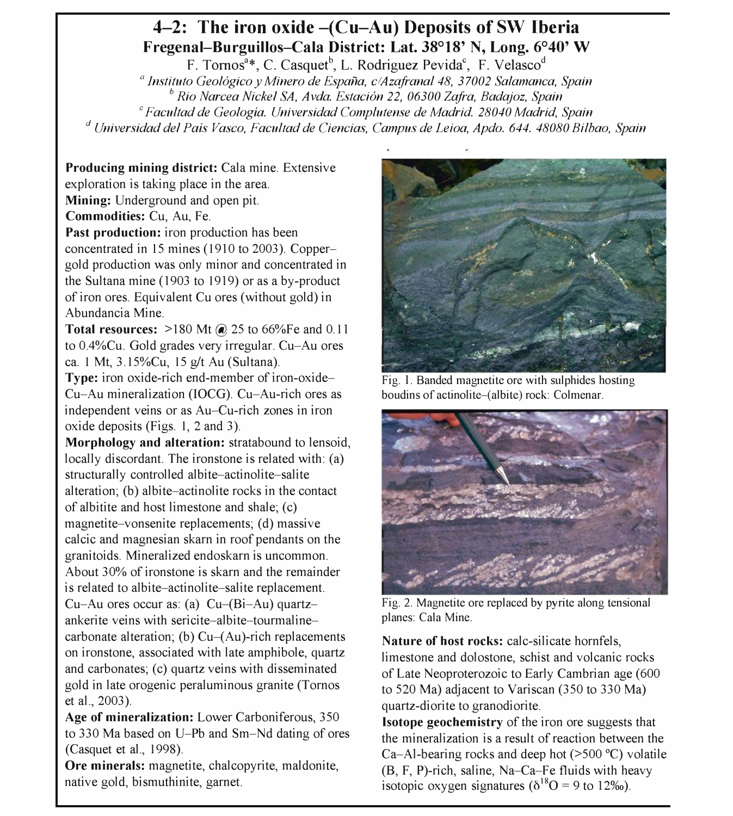## 4-2: The iron oxide  $-(Cu-Au)$  Deposits of SW Iberia Fregenal-Burguillos-Cala District: Lat. 38°18' N, Long. 6°40' W

F. Tornos<sup>a</sup>\*, C. Casquet<sup>b</sup>, L. Rodriguez Pevida<sup>c</sup>, F. Velasco<sup>d</sup> <sup>a</sup> Instituto Geológico y Minero de España, c/Azafranal 48, 37002 Salamanca, Spain  $b<sup>b</sup>$  Rio Narcea Nickel SA, Avda. Estación 22, 06300 Zafra, Badajoz, Spain <sup>c</sup> Facultad de Geologia. Universidad Complutense de Madrid. 28040 Madrid, Spain <sup>d</sup> Universidad del País Vasco, Facultad de Ciencias, Campus de Leioa, Apdo. 644. 48080 Bilbao, Spain

Producing mining district: Cala mine. Extensive exploration is taking place in the area. Mining: Underground and open pit. Commodities: Cu, Au, Fe. Past production: iron production has been concentrated in 15 mines ( 1910 to 2003). Coppergold production was only minor and concentrated in the Sultana mine (1903 to 1919) or as a by-product of iron ores. Equivalent Cu ores (without gold) in

Abundancia Mine. **Total resources:**  $>180$  Mt  $\omega$  25 to 66%Fe and 0.11 to O.4%Cu. Gold grades very irregular. Cu-Au ores ca. 1 Mt, 3. 15%Cu, 15 g/t Au (Sultana).

Type: iron oxide-rich end-member of iron-oxide-Cu-Au mineralization (IOCG). Cu-Au-rich ores as independent veins or as Au-Cu-rich zones in iron oxide deposits (Figs. 1, 2 and 3).

Morphology and alteration: stratabound to lensoid, locally discordant. The ironstone is related with: (a) structurally controlled albite-actinolite-salite alteration; (b) albite-actinolite rocks in the contact of albitite and host limestone and shale; (c) magnetite-vonsenite replacements; (d) massive calcic and magnesian skarn in roof pendants on the granitoids. Mineralized endoskarn is uncommon. About 30% of ironstone is skarn and the remainder is related to albite-actinolite-salite replacement. Cu-Au ores occur as: (a)  $Cu-(Bi-Au)$  quartzankerite veins with sericite-albite-tourmalinecarbonate alteration; (b)  $Cu-(Au)$ -rich replacements on ironstone, associated with late amphibole, quartz and carbonates; (c) quartz veins with disseminated gold in late orogenic peraluminous granite (Tornos et ai., 2003).

Age of mineralization: Lower Carboniferous, 350 to 330 Ma based on U-Pb and Sm-Nd dating of ores (Casquet et ai., 1998).

Ore minerals: magnetite, chalcopyrite, maldonite, native gold, bismuthinite, garnet.



Fig. 1. Banded magnetite ore with sulphides hosting boudins of actinolite-(albite) rock: Colmenar.



Fig. 2. Magnetite ore replaced by pyrite along tensional planes: Cala Mine.

Nature of host rocks: calc-silicate hornfels, limestone and dolostone, schist and volcanic rocks of Late Neoproterozoic to Early Cambrian age (600 to 520 Ma) adjacent to Variscan (350 to 330 Ma) quartz-diorite to granodiorite.

Isotope geochemistry of the iron ore suggests that the mineralization is a result of reaction between the Ca-Al-bearing rocks and deep hot  $(>500 \degree C)$  volatile (B, F, P)-rich, saline, Na-Ca-Fe fluids with heavy isotopic oxygen signatures ( $\delta^{18}O = 9$  to 12‰).